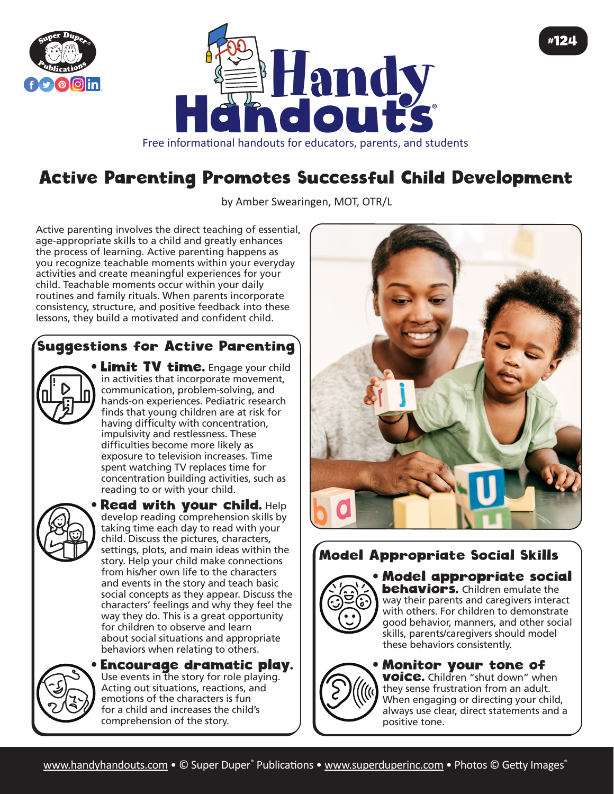



# Active Parenting Promotes Successful Child Development

by Amber Swearingen, MOT, OTR/L

Active parenting involves the direct teaching of essential, age-appropriate skills to a child and greatly enhances the process of learning. Active parenting happens as you recognize teachable moments within your everyday activities and create meaningful experiences for your child. Teachable moments occur within your daily routines and family rituals. When parents incorporate consistency, structure, and positive feedback into these lessons, they build a motivated and confident child.

## Suggestions for Active Parenting

in activities that incorporate movement, communication, problem-solving, and hands-on experiences. Pediatric research finds that young children are at risk for having difficulty with concentration, impulsivity and restlessness. These difficulties become more likely as exposure to television increases. Time spent watching TV replaces time for concentration building activities, such as reading to or with your child.

**Limit TV time.** Engage your child



**Read with your child. Help** develop reading comprehension skills by taking time each day to read with your child. Discuss the pictures, characters, settings, plots, and main ideas within the story. Help your child make connections from his/her own life to the characters and events in the story and teach basic social concepts as they appear. Discuss the characters' feelings and why they feel the way they do. This is a great opportunity for children to observe and learn about social situations and appropriate behaviors when relating to others.



• Encourage dramatic play. Use events in the story for role playing. Acting out situations, reactions, and emotions of the characters is fun for a child and increases the child's comprehension of the story.



#124

## Model Appropriate Social Skills



• Model appropriate social **behaviors.** Children emulate the way their parents and caregivers interact with others. For children to demonstrate good behavior, manners, and other social skills, parents/caregivers should model these behaviors consistently.

#### • Monitor your tone of

**voice.** Children "shut down" when they sense frustration from an adult. When engaging or directing your child, always use clear, direct statements and a positive tone.